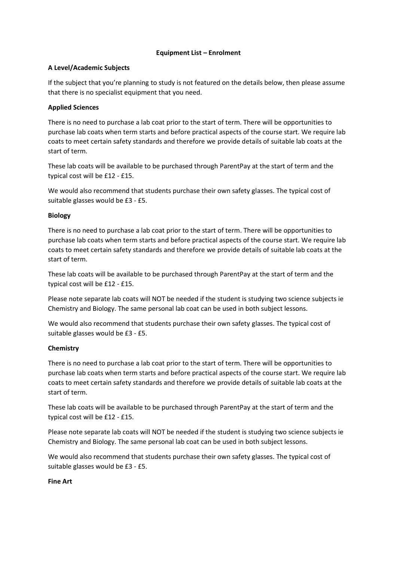# **Equipment List – Enrolment**

# **A Level/Academic Subjects**

If the subject that you're planning to study is not featured on the details below, then please assume that there is no specialist equipment that you need.

# **Applied Sciences**

There is no need to purchase a lab coat prior to the start of term. There will be opportunities to purchase lab coats when term starts and before practical aspects of the course start. We require lab coats to meet certain safety standards and therefore we provide details of suitable lab coats at the start of term.

These lab coats will be available to be purchased through ParentPay at the start of term and the typical cost will be £12 - £15.

We would also recommend that students purchase their own safety glasses. The typical cost of suitable glasses would be £3 - £5.

# **Biology**

There is no need to purchase a lab coat prior to the start of term. There will be opportunities to purchase lab coats when term starts and before practical aspects of the course start. We require lab coats to meet certain safety standards and therefore we provide details of suitable lab coats at the start of term.

These lab coats will be available to be purchased through ParentPay at the start of term and the typical cost will be £12 - £15.

Please note separate lab coats will NOT be needed if the student is studying two science subjects ie Chemistry and Biology. The same personal lab coat can be used in both subject lessons.

We would also recommend that students purchase their own safety glasses. The typical cost of suitable glasses would be £3 - £5.

# **Chemistry**

There is no need to purchase a lab coat prior to the start of term. There will be opportunities to purchase lab coats when term starts and before practical aspects of the course start. We require lab coats to meet certain safety standards and therefore we provide details of suitable lab coats at the start of term.

These lab coats will be available to be purchased through ParentPay at the start of term and the typical cost will be £12 - £15.

Please note separate lab coats will NOT be needed if the student is studying two science subjects ie Chemistry and Biology. The same personal lab coat can be used in both subject lessons.

We would also recommend that students purchase their own safety glasses. The typical cost of suitable glasses would be £3 - £5.

# **Fine Art**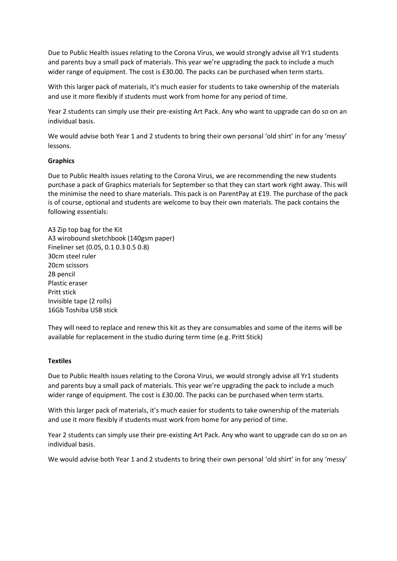Due to Public Health issues relating to the Corona Virus, we would strongly advise all Yr1 students and parents buy a small pack of materials. This year we're upgrading the pack to include a much wider range of equipment. The cost is £30.00. The packs can be purchased when term starts.

With this larger pack of materials, it's much easier for students to take ownership of the materials and use it more flexibly if students must work from home for any period of time.

Year 2 students can simply use their pre-existing Art Pack. Any who want to upgrade can do so on an individual basis.

We would advise both Year 1 and 2 students to bring their own personal 'old shirt' in for any 'messy' lessons.

# **Graphics**

Due to Public Health issues relating to the Corona Virus, we are recommending the new students purchase a pack of Graphics materials for September so that they can start work right away. This will the minimise the need to share materials. This pack is on ParentPay at £19. The purchase of the pack is of course, optional and students are welcome to buy their own materials. The pack contains the following essentials:

A3 Zip top bag for the Kit A3 wirobound sketchbook (140gsm paper) Fineliner set (0.05, 0.1 0.3 0.5 0.8) 30cm steel ruler 20cm scissors 2B pencil Plastic eraser Pritt stick Invisible tape (2 rolls) 16Gb Toshiba USB stick

They will need to replace and renew this kit as they are consumables and some of the items will be available for replacement in the studio during term time (e.g. Pritt Stick)

# **Textiles**

Due to Public Health issues relating to the Corona Virus, we would strongly advise all Yr1 students and parents buy a small pack of materials. This year we're upgrading the pack to include a much wider range of equipment. The cost is £30.00. The packs can be purchased when term starts.

With this larger pack of materials, it's much easier for students to take ownership of the materials and use it more flexibly if students must work from home for any period of time.

Year 2 students can simply use their pre-existing Art Pack. Any who want to upgrade can do so on an individual basis.

We would advise both Year 1 and 2 students to bring their own personal 'old shirt' in for any 'messy'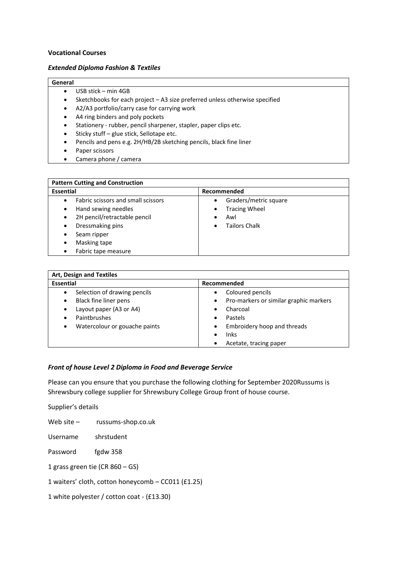#### **Vocational Courses**

#### *Extended Diploma Fashion & Textiles*

#### **General**

- USB stick min 4GB
- Sketchbooks for each project A3 size preferred unless otherwise specified
- A2/A3 portfolio/carry case for carrying work
- A4 ring binders and poly pockets
- Stationery rubber, pencil sharpener, stapler, paper clips etc.
- Sticky stuff glue stick, Sellotape etc.
- Pencils and pens e.g. 2H/HB/2B sketching pencils, black fine liner
- Paper scissors
- Camera phone / camera

| <b>Pattern Cutting and Construction</b>   |                                    |
|-------------------------------------------|------------------------------------|
| Essential                                 | Recommended                        |
| Fabric scissors and small scissors        | Graders/metric square<br>$\bullet$ |
| Hand sewing needles<br>$\bullet$          | <b>Tracing Wheel</b><br>$\bullet$  |
| 2H pencil/retractable pencil<br>$\bullet$ | Awl                                |
| Dressmaking pins<br>٠                     | Tailors Chalk<br>$\bullet$         |
| Seam ripper<br>٠                          |                                    |
| Masking tape<br>٠                         |                                    |
| Fabric tape measure                       |                                    |

| <b>Art, Design and Textiles</b>            |                                                     |
|--------------------------------------------|-----------------------------------------------------|
| <b>Essential</b>                           | Recommended                                         |
| Selection of drawing pencils               | Coloured pencils<br>$\bullet$                       |
| Black fine liner pens<br>٠                 | Pro-markers or similar graphic markers<br>$\bullet$ |
| Layout paper (A3 or A4)<br>$\bullet$       | Charcoal<br>$\bullet$                               |
| Paintbrushes                               | <b>Pastels</b><br>$\bullet$                         |
| Watercolour or gouache paints<br>$\bullet$ | Embroidery hoop and threads<br>$\bullet$            |
|                                            | Inks<br>$\bullet$                                   |
|                                            | Acetate, tracing paper<br>$\bullet$                 |

#### *Front of house Level 2 Diploma in Food and Beverage Service*

Please can you ensure that you purchase the following clothing for September 2020Russums is Shrewsbury college supplier for Shrewsbury College Group front of house course.

Supplier's details

Web site – russums-shop.co.uk

Username shrstudent

Password fgdw 358

1 grass green tie (CR 860 – GS)

1 waiters' cloth, cotton honeycomb – CC011 (£1.25)

1 white polyester / cotton coat - (£13.30)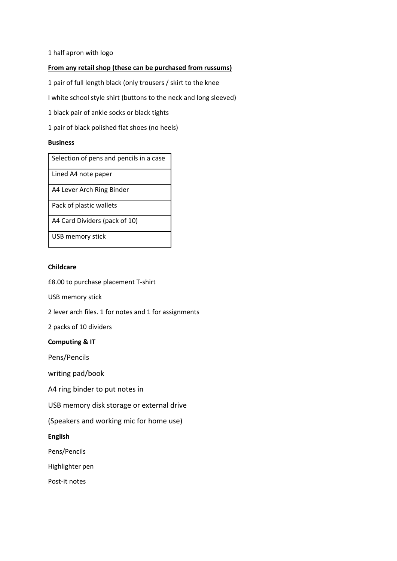1 half apron with logo

# **From any retail shop (these can be purchased from russums)**

1 pair of full length black (only trousers / skirt to the knee

I white school style shirt (buttons to the neck and long sleeved)

1 black pair of ankle socks or black tights

1 pair of black polished flat shoes (no heels)

#### **Business**

Lined A4 note paper

A4 Lever Arch Ring Binder

Pack of plastic wallets

A4 Card Dividers (pack of 10)

USB memory stick

# **Childcare**

£8.00 to purchase placement T-shirt

USB memory stick

2 lever arch files. 1 for notes and 1 for assignments

2 packs of 10 dividers

# **Computing & IT**

Pens/Pencils

writing pad/book

A4 ring binder to put notes in

USB memory disk storage or external drive

(Speakers and working mic for home use)

**English**

Pens/Pencils

Highlighter pen

Post-it notes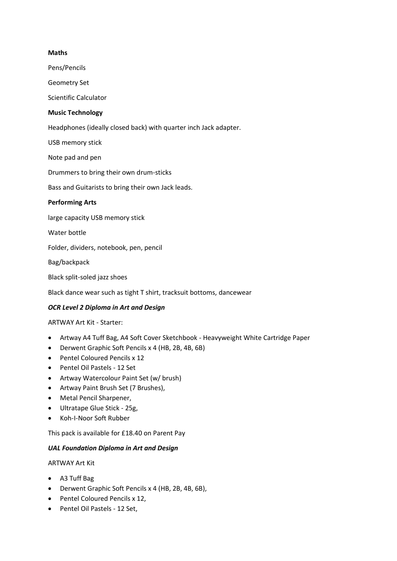# **Maths**

Pens/Pencils

Geometry Set

Scientific Calculator

# **Music Technology**

Headphones (ideally closed back) with quarter inch Jack adapter.

USB memory stick

Note pad and pen

Drummers to bring their own drum-sticks

Bass and Guitarists to bring their own Jack leads.

# **Performing Arts**

large capacity USB memory stick

Water bottle

Folder, dividers, notebook, pen, pencil

Bag/backpack

Black split-soled jazz shoes

Black dance wear such as tight T shirt, tracksuit bottoms, dancewear

# *OCR Level 2 Diploma in Art and Design*

ARTWAY Art Kit - Starter:

- Artway A4 Tuff Bag, A4 Soft Cover Sketchbook Heavyweight White Cartridge Paper
- Derwent Graphic Soft Pencils x 4 (HB, 2B, 4B, 6B)
- Pentel Coloured Pencils x 12
- Pentel Oil Pastels 12 Set
- Artway Watercolour Paint Set (w/ brush)
- Artway Paint Brush Set (7 Brushes),
- Metal Pencil Sharpener,
- Ultratape Glue Stick 25g,
- Koh-I-Noor Soft Rubber

This pack is available for £18.40 on Parent Pay

# *UAL Foundation Diploma in Art and Design*

# ARTWAY Art Kit

- A3 Tuff Bag
- Derwent Graphic Soft Pencils x 4 (HB, 2B, 4B, 6B),
- Pentel Coloured Pencils x 12,
- Pentel Oil Pastels 12 Set,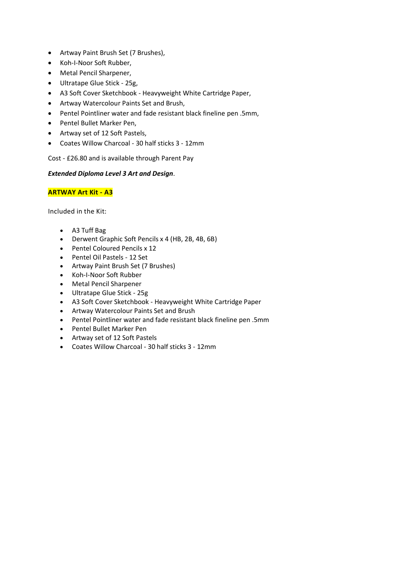- Artway Paint Brush Set (7 Brushes),
- Koh-I-Noor Soft Rubber,
- Metal Pencil Sharpener,
- Ultratape Glue Stick 25g,
- A3 Soft Cover Sketchbook Heavyweight White Cartridge Paper,
- Artway Watercolour Paints Set and Brush,
- Pentel Pointliner water and fade resistant black fineline pen .5mm,
- Pentel Bullet Marker Pen,
- Artway set of 12 Soft Pastels,
- Coates Willow Charcoal 30 half sticks 3 12mm

Cost - £26.80 and is available through Parent Pay

# *Extended Diploma Level 3 Art and Design*.

# **ARTWAY Art Kit - A3**

Included in the Kit:

- A3 Tuff Bag
- Derwent Graphic Soft Pencils x 4 (HB, 2B, 4B, 6B)
- Pentel Coloured Pencils x 12
- Pentel Oil Pastels 12 Set
- Artway Paint Brush Set (7 Brushes)
- Koh-I-Noor Soft Rubber
- Metal Pencil Sharpener
- Ultratape Glue Stick 25g
- A3 Soft Cover Sketchbook Heavyweight White Cartridge Paper
- Artway Watercolour Paints Set and Brush
- Pentel Pointliner water and fade resistant black fineline pen .5mm
- Pentel Bullet Marker Pen
- Artway set of 12 Soft Pastels
- Coates Willow Charcoal 30 half sticks 3 12mm